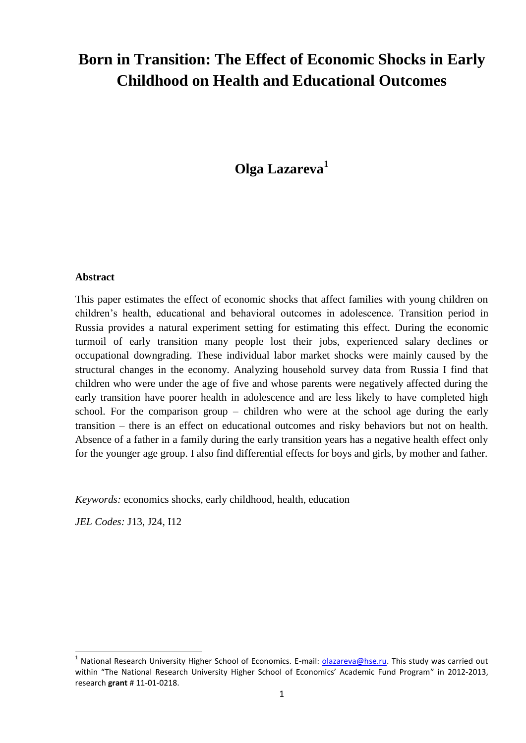# **Born in Transition: The Effect of Economic Shocks in Early Childhood on Health and Educational Outcomes**

## **Olga Lazareva<sup>1</sup>**

#### **Abstract**

This paper estimates the effect of economic shocks that affect families with young children on children's health, educational and behavioral outcomes in adolescence. Transition period in Russia provides a natural experiment setting for estimating this effect. During the economic turmoil of early transition many people lost their jobs, experienced salary declines or occupational downgrading. These individual labor market shocks were mainly caused by the structural changes in the economy. Analyzing household survey data from Russia I find that children who were under the age of five and whose parents were negatively affected during the early transition have poorer health in adolescence and are less likely to have completed high school. For the comparison group – children who were at the school age during the early transition – there is an effect on educational outcomes and risky behaviors but not on health. Absence of a father in a family during the early transition years has a negative health effect only for the younger age group. I also find differential effects for boys and girls, by mother and father.

*Keywords:* economics shocks, early childhood, health, education

*JEL Codes:* J13, J24, I12

**.** 

<sup>&</sup>lt;sup>1</sup> National Research University Higher School of Economics. E-mail: **olazareva@hse.ru**. This study was carried out within "The National Research University Higher School of Economics' Academic Fund Program" in 2012-2013, research **grant** # 11-01-0218.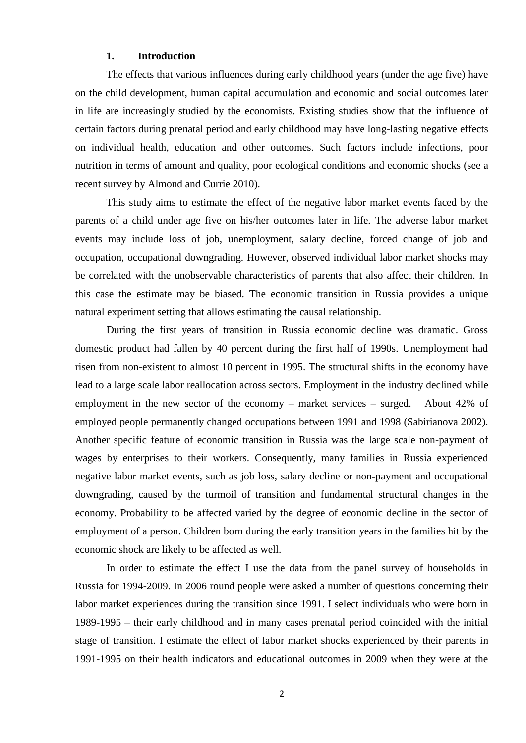#### **1. Introduction**

The effects that various influences during early childhood years (under the age five) have on the child development, human capital accumulation and economic and social outcomes later in life are increasingly studied by the economists. Existing studies show that the influence of certain factors during prenatal period and early childhood may have long-lasting negative effects on individual health, education and other outcomes. Such factors include infections, poor nutrition in terms of amount and quality, poor ecological conditions and economic shocks (see a recent survey by Almond and Currie 2010).

This study aims to estimate the effect of the negative labor market events faced by the parents of a child under age five on his/her outcomes later in life. The adverse labor market events may include loss of job, unemployment, salary decline, forced change of job and occupation, occupational downgrading. However, observed individual labor market shocks may be correlated with the unobservable characteristics of parents that also affect their children. In this case the estimate may be biased. The economic transition in Russia provides a unique natural experiment setting that allows estimating the causal relationship.

During the first years of transition in Russia economic decline was dramatic. Gross domestic product had fallen by 40 percent during the first half of 1990s. Unemployment had risen from non-existent to almost 10 percent in 1995. The structural shifts in the economy have lead to a large scale labor reallocation across sectors. Employment in the industry declined while employment in the new sector of the economy – market services – surged. About 42% of employed people permanently changed occupations between 1991 and 1998 (Sabirianova 2002). Another specific feature of economic transition in Russia was the large scale non-payment of wages by enterprises to their workers. Consequently, many families in Russia experienced negative labor market events, such as job loss, salary decline or non-payment and occupational downgrading, caused by the turmoil of transition and fundamental structural changes in the economy. Probability to be affected varied by the degree of economic decline in the sector of employment of a person. Children born during the early transition years in the families hit by the economic shock are likely to be affected as well.

In order to estimate the effect I use the data from the panel survey of households in Russia for 1994-2009. In 2006 round people were asked a number of questions concerning their labor market experiences during the transition since 1991. I select individuals who were born in 1989-1995 – their early childhood and in many cases prenatal period coincided with the initial stage of transition. I estimate the effect of labor market shocks experienced by their parents in 1991-1995 on their health indicators and educational outcomes in 2009 when they were at the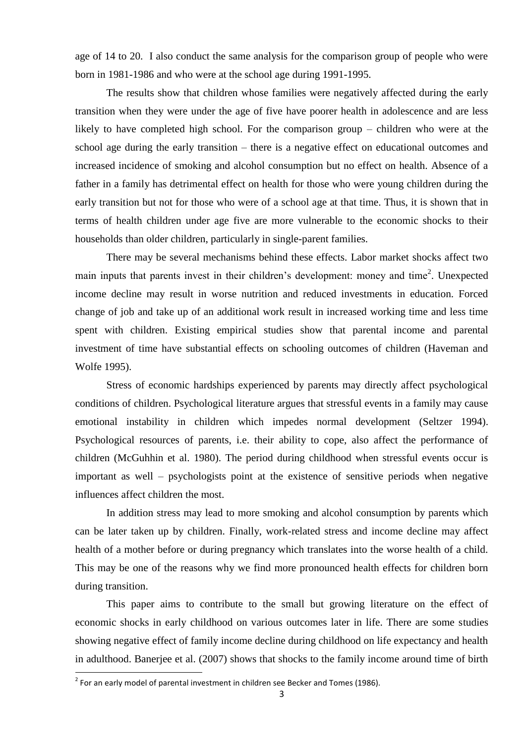age of 14 to 20. I also conduct the same analysis for the comparison group of people who were born in 1981-1986 and who were at the school age during 1991-1995.

The results show that children whose families were negatively affected during the early transition when they were under the age of five have poorer health in adolescence and are less likely to have completed high school. For the comparison group – children who were at the school age during the early transition – there is a negative effect on educational outcomes and increased incidence of smoking and alcohol consumption but no effect on health. Absence of a father in a family has detrimental effect on health for those who were young children during the early transition but not for those who were of a school age at that time. Thus, it is shown that in terms of health children under age five are more vulnerable to the economic shocks to their households than older children, particularly in single-parent families.

There may be several mechanisms behind these effects. Labor market shocks affect two main inputs that parents invest in their children's development: money and time<sup>2</sup>. Unexpected income decline may result in worse nutrition and reduced investments in education. Forced change of job and take up of an additional work result in increased working time and less time spent with children. Existing empirical studies show that parental income and parental investment of time have substantial effects on schooling outcomes of children (Haveman and Wolfe 1995).

Stress of economic hardships experienced by parents may directly affect psychological conditions of children. Psychological literature argues that stressful events in a family may cause emotional instability in children which impedes normal development (Seltzer 1994). Psychological resources of parents, i.e. their ability to cope, also affect the performance of children (McGuhhin et al. 1980). The period during childhood when stressful events occur is important as well – psychologists point at the existence of sensitive periods when negative influences affect children the most.

In addition stress may lead to more smoking and alcohol consumption by parents which can be later taken up by children. Finally, work-related stress and income decline may affect health of a mother before or during pregnancy which translates into the worse health of a child. This may be one of the reasons why we find more pronounced health effects for children born during transition.

This paper aims to contribute to the small but growing literature on the effect of economic shocks in early childhood on various outcomes later in life. There are some studies showing negative effect of family income decline during childhood on life expectancy and health in adulthood. Banerjee et al. (2007) shows that shocks to the family income around time of birth

**.** 

 $2$  For an early model of parental investment in children see Becker and Tomes (1986).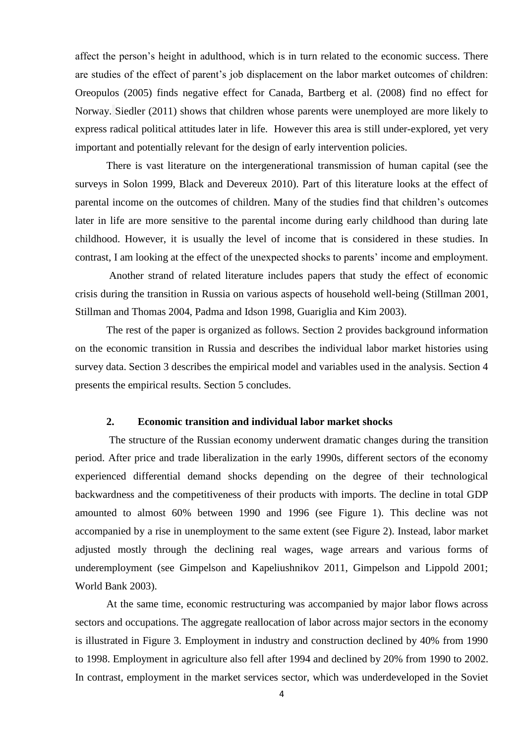affect the person's height in adulthood, which is in turn related to the economic success. There are studies of the effect of parent's job displacement on the labor market outcomes of children: Oreopulos (2005) finds negative effect for Canada, Bartberg et al. (2008) find no effect for Norway. Siedler (2011) shows that children whose parents were unemployed are more likely to express radical political attitudes later in life. However this area is still under-explored, yet very important and potentially relevant for the design of early intervention policies.

There is vast literature on the intergenerational transmission of human capital (see the surveys in Solon 1999, Black and Devereux 2010). Part of this literature looks at the effect of parental income on the outcomes of children. Many of the studies find that children's outcomes later in life are more sensitive to the parental income during early childhood than during late childhood. However, it is usually the level of income that is considered in these studies. In contrast, I am looking at the effect of the unexpected shocks to parents' income and employment.

Another strand of related literature includes papers that study the effect of economic crisis during the transition in Russia on various aspects of household well-being (Stillman 2001, Stillman and Thomas 2004, Padma and Idson 1998, Guariglia and Kim 2003).

The rest of the paper is organized as follows. Section 2 provides background information on the economic transition in Russia and describes the individual labor market histories using survey data. Section 3 describes the empirical model and variables used in the analysis. Section 4 presents the empirical results. Section 5 concludes.

#### **2. Economic transition and individual labor market shocks**

The structure of the Russian economy underwent dramatic changes during the transition period. After price and trade liberalization in the early 1990s, different sectors of the economy experienced differential demand shocks depending on the degree of their technological backwardness and the competitiveness of their products with imports. The decline in total GDP amounted to almost 60% between 1990 and 1996 (see Figure 1). This decline was not accompanied by a rise in unemployment to the same extent (see Figure 2). Instead, labor market adjusted mostly through the declining real wages, wage arrears and various forms of underemployment (see Gimpelson and Kapeliushnikov 2011, Gimpelson and Lippold 2001; World Bank 2003).

At the same time, economic restructuring was accompanied by major labor flows across sectors and occupations. The aggregate reallocation of labor across major sectors in the economy is illustrated in Figure 3. Employment in industry and construction declined by 40% from 1990 to 1998. Employment in agriculture also fell after 1994 and declined by 20% from 1990 to 2002. In contrast, employment in the market services sector, which was underdeveloped in the Soviet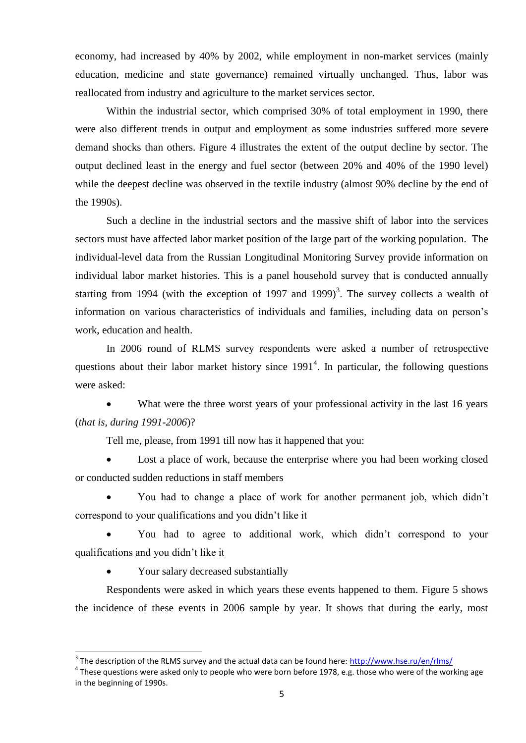economy, had increased by 40% by 2002, while employment in non-market services (mainly education, medicine and state governance) remained virtually unchanged. Thus, labor was reallocated from industry and agriculture to the market services sector.

Within the industrial sector, which comprised 30% of total employment in 1990, there were also different trends in output and employment as some industries suffered more severe demand shocks than others. Figure 4 illustrates the extent of the output decline by sector. The output declined least in the energy and fuel sector (between 20% and 40% of the 1990 level) while the deepest decline was observed in the textile industry (almost 90% decline by the end of the 1990s).

Such a decline in the industrial sectors and the massive shift of labor into the services sectors must have affected labor market position of the large part of the working population. The individual-level data from the Russian Longitudinal Monitoring Survey provide information on individual labor market histories. This is a panel household survey that is conducted annually starting from 1994 (with the exception of 1997 and 1999)<sup>3</sup>. The survey collects a wealth of information on various characteristics of individuals and families, including data on person's work, education and health.

In 2006 round of RLMS survey respondents were asked a number of retrospective questions about their labor market history since  $1991<sup>4</sup>$ . In particular, the following questions were asked:

• What were the three worst years of your professional activity in the last 16 years (*that is, during 1991-2006*)?

Tell me, please, from 1991 till now has it happened that you:

 Lost a place of work, because the enterprise where you had been working closed or conducted sudden reductions in staff members

 You had to change a place of work for another permanent job, which didn't correspond to your qualifications and you didn't like it

 You had to agree to additional work, which didn't correspond to your qualifications and you didn't like it

Your salary decreased substantially

**.** 

Respondents were asked in which years these events happened to them. Figure 5 shows the incidence of these events in 2006 sample by year. It shows that during the early, most

<sup>&</sup>lt;sup>3</sup> The description of the RLMS survey and the actual data can be found here:<http://www.hse.ru/en/rlms/>

 $^4$  These questions were asked only to people who were born before 1978, e.g. those who were of the working age in the beginning of 1990s.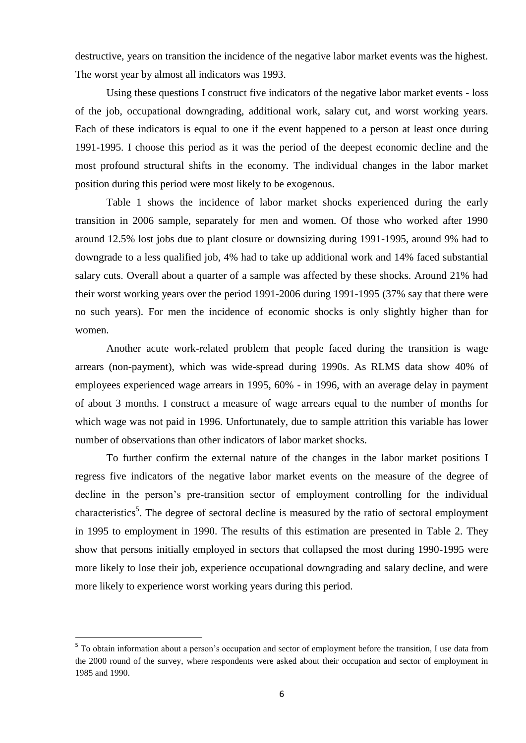destructive, years on transition the incidence of the negative labor market events was the highest. The worst year by almost all indicators was 1993.

Using these questions I construct five indicators of the negative labor market events - loss of the job, occupational downgrading, additional work, salary cut, and worst working years. Each of these indicators is equal to one if the event happened to a person at least once during 1991-1995. I choose this period as it was the period of the deepest economic decline and the most profound structural shifts in the economy. The individual changes in the labor market position during this period were most likely to be exogenous.

Table 1 shows the incidence of labor market shocks experienced during the early transition in 2006 sample, separately for men and women. Of those who worked after 1990 around 12.5% lost jobs due to plant closure or downsizing during 1991-1995, around 9% had to downgrade to a less qualified job, 4% had to take up additional work and 14% faced substantial salary cuts. Overall about a quarter of a sample was affected by these shocks. Around 21% had their worst working years over the period 1991-2006 during 1991-1995 (37% say that there were no such years). For men the incidence of economic shocks is only slightly higher than for women.

Another acute work-related problem that people faced during the transition is wage arrears (non-payment), which was wide-spread during 1990s. As RLMS data show 40% of employees experienced wage arrears in 1995, 60% - in 1996, with an average delay in payment of about 3 months. I construct a measure of wage arrears equal to the number of months for which wage was not paid in 1996. Unfortunately, due to sample attrition this variable has lower number of observations than other indicators of labor market shocks.

To further confirm the external nature of the changes in the labor market positions I regress five indicators of the negative labor market events on the measure of the degree of decline in the person's pre-transition sector of employment controlling for the individual characteristics<sup>5</sup>. The degree of sectoral decline is measured by the ratio of sectoral employment in 1995 to employment in 1990. The results of this estimation are presented in Table 2. They show that persons initially employed in sectors that collapsed the most during 1990-1995 were more likely to lose their job, experience occupational downgrading and salary decline, and were more likely to experience worst working years during this period.

**.** 

<sup>&</sup>lt;sup>5</sup> To obtain information about a person's occupation and sector of employment before the transition, I use data from the 2000 round of the survey, where respondents were asked about their occupation and sector of employment in 1985 and 1990.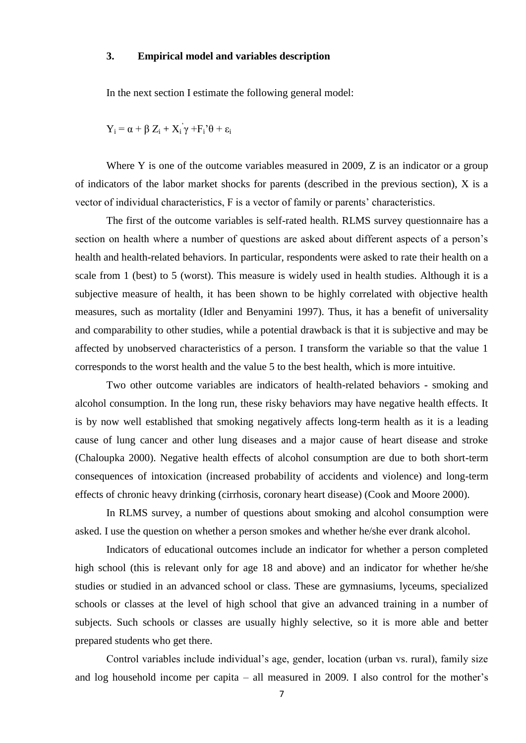#### **3. Empirical model and variables description**

In the next section I estimate the following general model:

$$
Y_i = \alpha + \beta Z_i + X_i \gamma + F_i \theta + \epsilon_i
$$

Where Y is one of the outcome variables measured in 2009, Z is an indicator or a group of indicators of the labor market shocks for parents (described in the previous section), X is a vector of individual characteristics, F is a vector of family or parents' characteristics.

The first of the outcome variables is self-rated health. RLMS survey questionnaire has a section on health where a number of questions are asked about different aspects of a person's health and health-related behaviors. In particular, respondents were asked to rate their health on a scale from 1 (best) to 5 (worst). This measure is widely used in health studies. Although it is a subjective measure of health, it has been shown to be highly correlated with objective health measures, such as mortality (Idler and Benyamini 1997). Thus, it has a benefit of universality and comparability to other studies, while a potential drawback is that it is subjective and may be affected by unobserved characteristics of a person. I transform the variable so that the value 1 corresponds to the worst health and the value 5 to the best health, which is more intuitive.

Two other outcome variables are indicators of health-related behaviors - smoking and alcohol consumption. In the long run, these risky behaviors may have negative health effects. It is by now well established that smoking negatively affects long-term health as it is a leading cause of lung cancer and other lung diseases and a major cause of heart disease and stroke (Chaloupka 2000). Negative health effects of alcohol consumption are due to both short-term consequences of intoxication (increased probability of accidents and violence) and long-term effects of chronic heavy drinking (cirrhosis, coronary heart disease) (Cook and Moore 2000).

In RLMS survey, a number of questions about smoking and alcohol consumption were asked. I use the question on whether a person smokes and whether he/she ever drank alcohol.

Indicators of educational outcomes include an indicator for whether a person completed high school (this is relevant only for age 18 and above) and an indicator for whether he/she studies or studied in an advanced school or class. These are gymnasiums, lyceums, specialized schools or classes at the level of high school that give an advanced training in a number of subjects. Such schools or classes are usually highly selective, so it is more able and better prepared students who get there.

Control variables include individual's age, gender, location (urban vs. rural), family size and log household income per capita – all measured in 2009. I also control for the mother's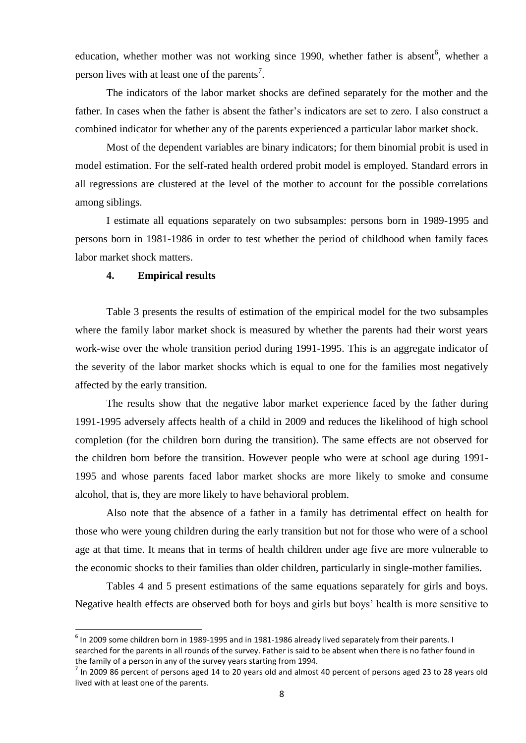education, whether mother was not working since 1990, whether father is absent<sup>6</sup>, whether a person lives with at least one of the parents<sup>7</sup>.

The indicators of the labor market shocks are defined separately for the mother and the father. In cases when the father is absent the father's indicators are set to zero. I also construct a combined indicator for whether any of the parents experienced a particular labor market shock.

Most of the dependent variables are binary indicators; for them binomial probit is used in model estimation. For the self-rated health ordered probit model is employed. Standard errors in all regressions are clustered at the level of the mother to account for the possible correlations among siblings.

I estimate all equations separately on two subsamples: persons born in 1989-1995 and persons born in 1981-1986 in order to test whether the period of childhood when family faces labor market shock matters.

#### **4. Empirical results**

**.** 

Table 3 presents the results of estimation of the empirical model for the two subsamples where the family labor market shock is measured by whether the parents had their worst years work-wise over the whole transition period during 1991-1995. This is an aggregate indicator of the severity of the labor market shocks which is equal to one for the families most negatively affected by the early transition.

The results show that the negative labor market experience faced by the father during 1991-1995 adversely affects health of a child in 2009 and reduces the likelihood of high school completion (for the children born during the transition). The same effects are not observed for the children born before the transition. However people who were at school age during 1991- 1995 and whose parents faced labor market shocks are more likely to smoke and consume alcohol, that is, they are more likely to have behavioral problem.

Also note that the absence of a father in a family has detrimental effect on health for those who were young children during the early transition but not for those who were of a school age at that time. It means that in terms of health children under age five are more vulnerable to the economic shocks to their families than older children, particularly in single-mother families.

Tables 4 and 5 present estimations of the same equations separately for girls and boys. Negative health effects are observed both for boys and girls but boys' health is more sensitive to

 $^6$  In 2009 some children born in 1989-1995 and in 1981-1986 already lived separately from their parents. I searched for the parents in all rounds of the survey. Father is said to be absent when there is no father found in the family of a person in any of the survey years starting from 1994.

 $^7$  In 2009 86 percent of persons aged 14 to 20 years old and almost 40 percent of persons aged 23 to 28 years old lived with at least one of the parents.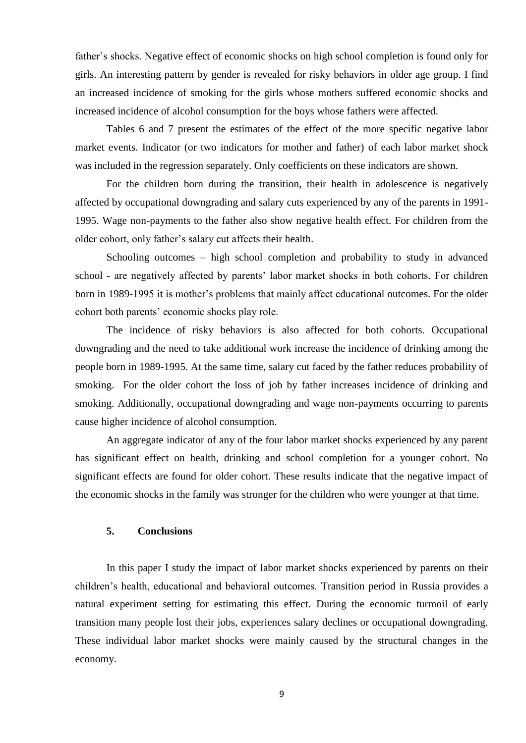father's shocks. Negative effect of economic shocks on high school completion is found only for girls. An interesting pattern by gender is revealed for risky behaviors in older age group. I find an increased incidence of smoking for the girls whose mothers suffered economic shocks and increased incidence of alcohol consumption for the boys whose fathers were affected.

Tables 6 and 7 present the estimates of the effect of the more specific negative labor market events. Indicator (or two indicators for mother and father) of each labor market shock was included in the regression separately. Only coefficients on these indicators are shown.

For the children born during the transition, their health in adolescence is negatively affected by occupational downgrading and salary cuts experienced by any of the parents in 1991- 1995. Wage non-payments to the father also show negative health effect. For children from the older cohort, only father's salary cut affects their health.

Schooling outcomes – high school completion and probability to study in advanced school - are negatively affected by parents' labor market shocks in both cohorts. For children born in 1989-1995 it is mother's problems that mainly affect educational outcomes. For the older cohort both parents' economic shocks play role.

The incidence of risky behaviors is also affected for both cohorts. Occupational downgrading and the need to take additional work increase the incidence of drinking among the people born in 1989-1995. At the same time, salary cut faced by the father reduces probability of smoking. For the older cohort the loss of job by father increases incidence of drinking and smoking. Additionally, occupational downgrading and wage non-payments occurring to parents cause higher incidence of alcohol consumption.

An aggregate indicator of any of the four labor market shocks experienced by any parent has significant effect on health, drinking and school completion for a younger cohort. No significant effects are found for older cohort. These results indicate that the negative impact of the economic shocks in the family was stronger for the children who were younger at that time.

#### **5. Conclusions**

In this paper I study the impact of labor market shocks experienced by parents on their children's health, educational and behavioral outcomes. Transition period in Russia provides a natural experiment setting for estimating this effect. During the economic turmoil of early transition many people lost their jobs, experiences salary declines or occupational downgrading. These individual labor market shocks were mainly caused by the structural changes in the economy.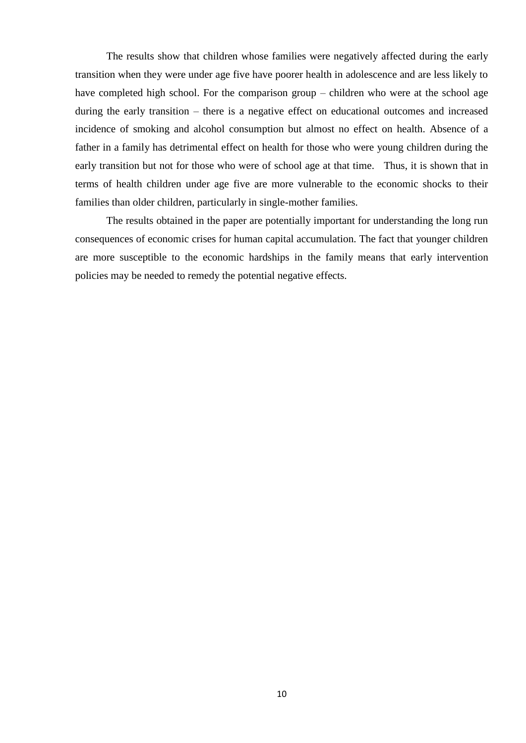The results show that children whose families were negatively affected during the early transition when they were under age five have poorer health in adolescence and are less likely to have completed high school. For the comparison group – children who were at the school age during the early transition – there is a negative effect on educational outcomes and increased incidence of smoking and alcohol consumption but almost no effect on health. Absence of a father in a family has detrimental effect on health for those who were young children during the early transition but not for those who were of school age at that time. Thus, it is shown that in terms of health children under age five are more vulnerable to the economic shocks to their families than older children, particularly in single-mother families.

The results obtained in the paper are potentially important for understanding the long run consequences of economic crises for human capital accumulation. The fact that younger children are more susceptible to the economic hardships in the family means that early intervention policies may be needed to remedy the potential negative effects.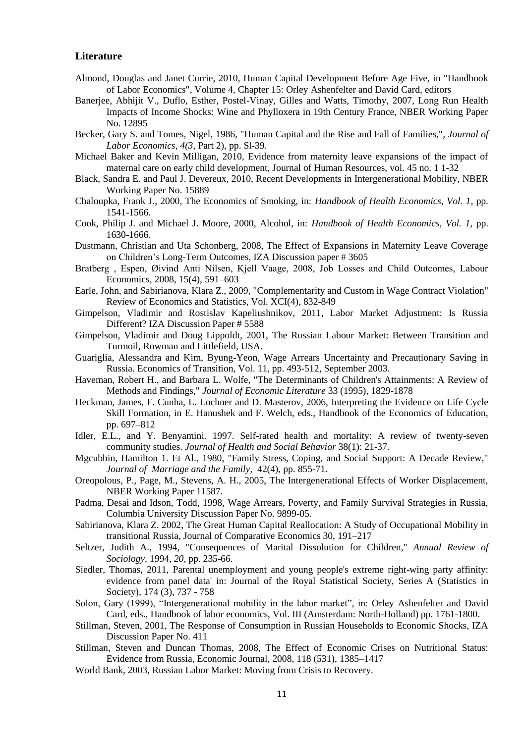#### **Literature**

- Almond, Douglas and Janet Currie, 2010, Human Capital Development Before Age Five, in "Handbook of Labor Economics", Volume 4, Chapter 15: Orley Ashenfelter and David Card, editors
- Banerjee, Abhijit V., Duflo, Esther, Postel-Vinay, Gilles and Watts, Timothy, 2007, Long Run Health Impacts of Income Shocks: Wine and Phylloxera in 19th Century France, NBER Working Paper No. 12895
- Becker, Gary S. and Tomes, Nigel, 1986, "Human Capital and the Rise and Fall of Families,", *Journal of Labor Economics, 4(3,* Part 2), pp. Sl-39.
- Michael Baker and Kevin Milligan, 2010, Evidence from maternity leave expansions of the impact of maternal care on early child development, Journal of Human Resources, vol. 45 no. 1 1-32
- Black, Sandra E. and Paul J. Devereux, 2010, Recent Developments in Intergenerational Mobility, NBER Working Paper No. 15889
- Chaloupka, Frank J., 2000, The Economics of Smoking, in: *Handbook of Health Economics, Vol. 1,* pp. 1541-1566.
- Cook, Philip J. and Michael J. Moore, 2000, Alcohol, in: *Handbook of Health Economics, Vol. 1,* pp. 1630-1666.
- Dustmann, Christian and Uta Schonberg, 2008, The Effect of Expansions in Maternity Leave Coverage on Children's Long-Term Outcomes, IZA Discussion paper # 3605
- Bratberg , Espen, Øivind Anti Nilsen, Kjell Vaage, 2008, Job Losses and Child Outcomes, Labour Economics, 2008, 15(4), 591–603
- Earle, John, and Sabirianova, Klara Z., 2009, "Complementarity and Custom in Wage Contract Violation" Review of Economics and Statistics, Vol. XCI(4), 832-849
- Gimpelson, Vladimir and Rostislav Kapeliushnikov, 2011, Labor Market Adjustment: Is Russia Different? IZA Discussion Paper # 5588
- Gimpelson, Vladimir and Doug Lippoldt, 2001, The Russian Labour Market: Between Transition and Turmoil, Rowman and Littlefield, USA.
- Guariglia, Alessandra and Kim, Byung-Yeon, Wage Arrears Uncertainty and Precautionary Saving in Russia. Economics of Transition, Vol. 11, pp. 493-512, September 2003.
- Haveman, Robert H., and Barbara L. Wolfe, "The Determinants of Children's Attainments: A Review of Methods and Findings," *Journal of Economic Literature* 33 (1995), 1829-1878
- Heckman, James, F. Cunha, L. Lochner and D. Masterov, 2006, Interpreting the Evidence on Life Cycle Skill Formation, in E. Hanushek and F. Welch, eds., Handbook of the Economics of Education, pp. 697–812
- Idler, E.L., and Y. Benyamini. 1997. Self-rated health and mortality: A review of twenty-seven community studies. *Journal of Health and Social Behavior* 38(1): 21-37.
- Mgcubbin, Hamilton 1. Et Al., 1980, "Family Stress, Coping, and Social Support: A Decade Review," *Journal of Marriage and the Family,* 42(4), pp. 855-71.
- Oreopolous, P., Page, M., Stevens, A. H., 2005, The Intergenerational Effects of Worker Displacement, NBER Working Paper 11587.
- Padma, Desai and Idson, Todd, 1998, Wage Arrears, Poverty, and Family Survival Strategies in Russia, Columbia University Discussion Paper No. 9899-05.
- Sabirianova, Klara Z. 2002, The Great Human Capital Reallocation: A Study of Occupational Mobility in transitional Russia, Journal of Comparative Economics 30, 191–217
- Seltzer, Judith A., 1994, "Consequences of Marital Dissolution for Children," *Annual Review of Sociology,* 1994, *20,* pp. 235-66.
- Siedler, Thomas, 2011, Parental unemployment and young people's extreme right-wing party affinity: evidence from panel data' in: Journal of the Royal Statistical Society, Series A (Statistics in Society), 174 (3), 737 - 758
- Solon, Gary (1999), "Intergenerational mobility in the labor market", in: Orley Ashenfelter and David Card, eds., Handbook of labor economics, Vol. III (Amsterdam: North-Holland) pp. 1761-1800.
- Stillman, Steven, 2001, The Response of Consumption in Russian Households to Economic Shocks, IZA Discussion Paper No. 411
- Stillman, Steven and Duncan Thomas, 2008, The Effect of Economic Crises on Nutritional Status: Evidence from Russia, Economic Journal, 2008, 118 (531), 1385–1417
- World Bank, 2003, Russian Labor Market: Moving from Crisis to Recovery.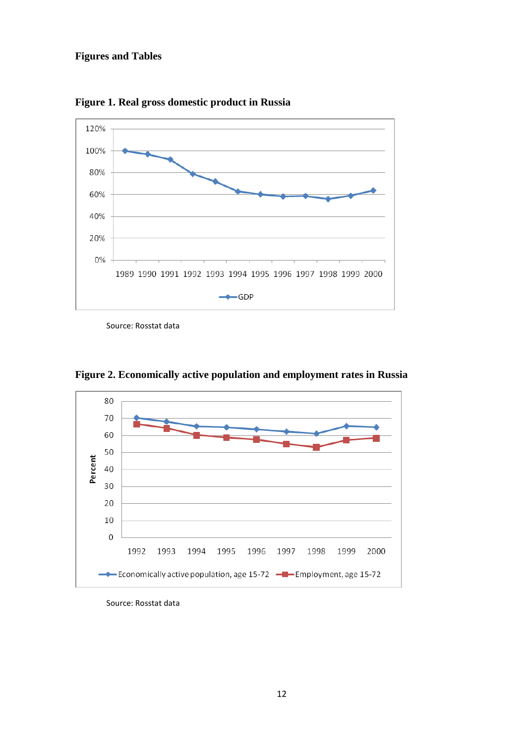### **Figures and Tables**



**Figure 1. Real gross domestic product in Russia**

Source: Rosstat data



**Figure 2. Economically active population and employment rates in Russia**

Source: Rosstat data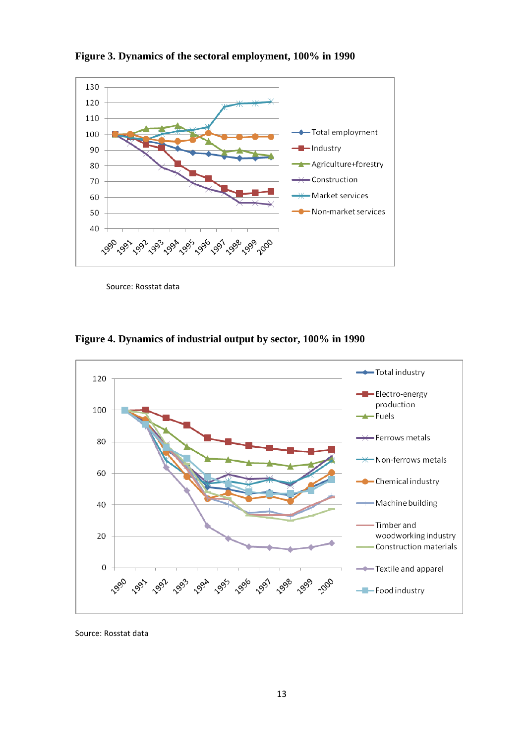

**Figure 3. Dynamics of the sectoral employment, 100% in 1990** 

Source: Rosstat data



**Figure 4. Dynamics of industrial output by sector, 100% in 1990** 

Source: Rosstat data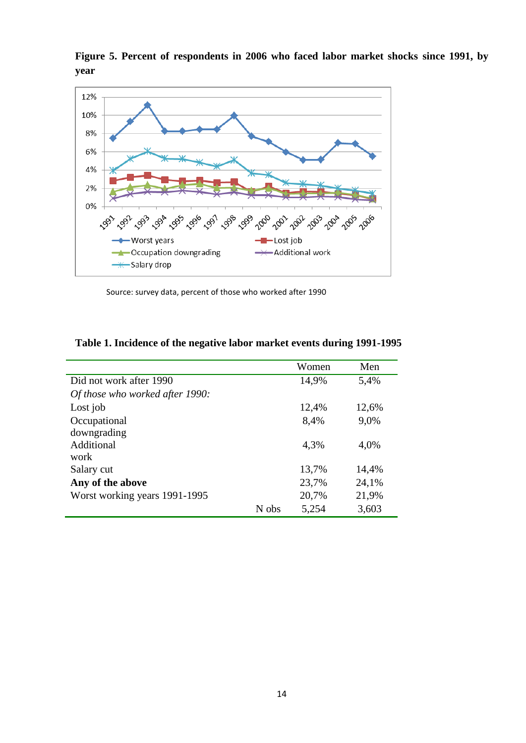



Source: survey data, percent of those who worked after 1990

|                                 |       | Women | Men   |
|---------------------------------|-------|-------|-------|
| Did not work after 1990         |       | 14,9% | 5,4%  |
| Of those who worked after 1990: |       |       |       |
| Lost job                        |       | 12,4% | 12,6% |
| Occupational                    |       | 8,4%  | 9,0%  |
| downgrading                     |       |       |       |
| Additional                      |       | 4.3%  | 4,0%  |
| work                            |       |       |       |
| Salary cut                      |       | 13,7% | 14,4% |
| Any of the above                |       | 23,7% | 24,1% |
| Worst working years 1991-1995   |       | 20,7% | 21,9% |
|                                 | N obs | 5,254 | 3,603 |

**Table 1. Incidence of the negative labor market events during 1991-1995**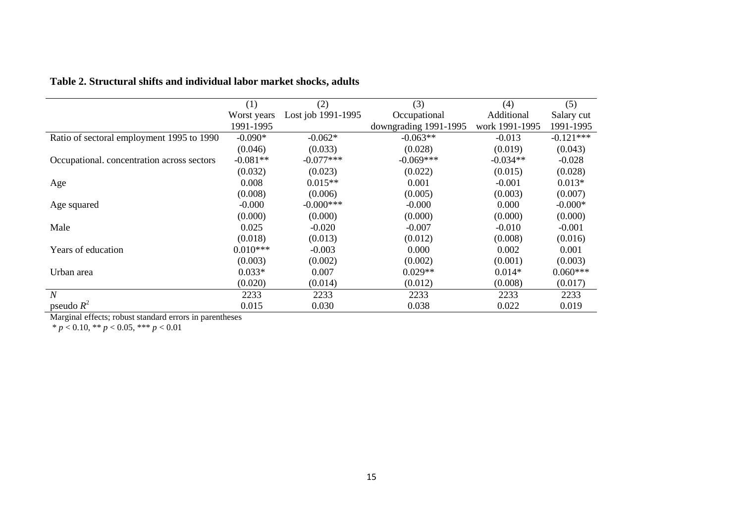|                                            | (1)         | (2)                | (3)                   | (4)            | (5)         |
|--------------------------------------------|-------------|--------------------|-----------------------|----------------|-------------|
|                                            | Worst years | Lost job 1991-1995 | Occupational          | Additional     | Salary cut  |
|                                            | 1991-1995   |                    | downgrading 1991-1995 | work 1991-1995 | 1991-1995   |
| Ratio of sectoral employment 1995 to 1990  | $-0.090*$   | $-0.062*$          | $-0.063**$            | $-0.013$       | $-0.121***$ |
|                                            | (0.046)     | (0.033)            | (0.028)               | (0.019)        | (0.043)     |
| Occupational. concentration across sectors | $-0.081**$  | $-0.077***$        | $-0.069***$           | $-0.034**$     | $-0.028$    |
|                                            | (0.032)     | (0.023)            | (0.022)               | (0.015)        | (0.028)     |
| Age                                        | 0.008       | $0.015**$          | 0.001                 | $-0.001$       | $0.013*$    |
|                                            | (0.008)     | (0.006)            | (0.005)               | (0.003)        | (0.007)     |
| Age squared                                | $-0.000$    | $-0.000$ ***       | $-0.000$              | 0.000          | $-0.000*$   |
|                                            | (0.000)     | (0.000)            | (0.000)               | (0.000)        | (0.000)     |
| Male                                       | 0.025       | $-0.020$           | $-0.007$              | $-0.010$       | $-0.001$    |
|                                            | (0.018)     | (0.013)            | (0.012)               | (0.008)        | (0.016)     |
| Years of education                         | $0.010***$  | $-0.003$           | 0.000                 | 0.002          | 0.001       |
|                                            | (0.003)     | (0.002)            | (0.002)               | (0.001)        | (0.003)     |
| Urban area                                 | $0.033*$    | 0.007              | $0.029**$             | $0.014*$       | $0.060***$  |
|                                            | (0.020)     | (0.014)            | (0.012)               | (0.008)        | (0.017)     |
| $\overline{N}$                             | 2233        | 2233               | 2233                  | 2233           | 2233        |
| pseudo $R^2$                               | 0.015       | 0.030              | 0.038                 | 0.022          | 0.019       |

## **Table 2. Structural shifts and individual labor market shocks, adults**

Marginal effects; robust standard errors in parentheses

\* *p* < 0.10, \*\* *p* < 0.05, \*\*\* *p* < 0.01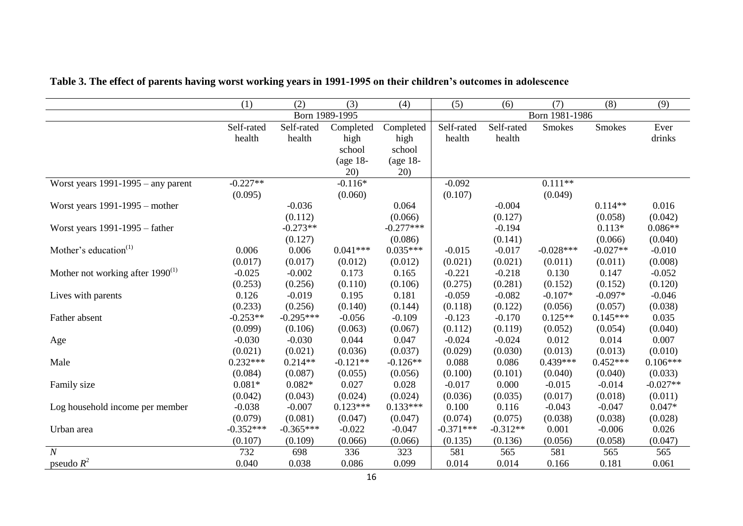|                                       | (1)         | (2)         | (3)            | (4)         | (5)         | (6)        | (7)            | (8)           | (9)        |
|---------------------------------------|-------------|-------------|----------------|-------------|-------------|------------|----------------|---------------|------------|
|                                       |             |             | Born 1989-1995 |             |             |            | Born 1981-1986 |               |            |
|                                       | Self-rated  | Self-rated  | Completed      | Completed   | Self-rated  | Self-rated | <b>Smokes</b>  | <b>Smokes</b> | Ever       |
|                                       | health      | health      | high           | high        | health      | health     |                |               | drinks     |
|                                       |             |             | school         | school      |             |            |                |               |            |
|                                       |             |             | (age 18-       | (age $18$ - |             |            |                |               |            |
|                                       |             |             | 20)            | 20)         |             |            |                |               |            |
| Worst years $1991-1995$ – any parent  | $-0.227**$  |             | $-0.116*$      |             | $-0.092$    |            | $0.111**$      |               |            |
|                                       | (0.095)     |             | (0.060)        |             | (0.107)     |            | (0.049)        |               |            |
| Worst years $1991-1995$ – mother      |             | $-0.036$    |                | 0.064       |             | $-0.004$   |                | $0.114**$     | 0.016      |
|                                       |             | (0.112)     |                | (0.066)     |             | (0.127)    |                | (0.058)       | (0.042)    |
| Worst years $1991-1995$ – father      |             | $-0.273**$  |                | $-0.277***$ |             | $-0.194$   |                | $0.113*$      | $0.086**$  |
|                                       |             | (0.127)     |                | (0.086)     |             | (0.141)    |                | (0.066)       | (0.040)    |
| Mother's education $(1)$              | 0.006       | 0.006       | $0.041***$     | $0.035***$  | $-0.015$    | $-0.017$   | $-0.028***$    | $-0.027**$    | $-0.010$   |
|                                       | (0.017)     | (0.017)     | (0.012)        | (0.012)     | (0.021)     | (0.021)    | (0.011)        | (0.011)       | (0.008)    |
| Mother not working after $1990^{(1)}$ | $-0.025$    | $-0.002$    | 0.173          | 0.165       | $-0.221$    | $-0.218$   | 0.130          | 0.147         | $-0.052$   |
|                                       | (0.253)     | (0.256)     | (0.110)        | (0.106)     | (0.275)     | (0.281)    | (0.152)        | (0.152)       | (0.120)    |
| Lives with parents                    | 0.126       | $-0.019$    | 0.195          | 0.181       | $-0.059$    | $-0.082$   | $-0.107*$      | $-0.097*$     | $-0.046$   |
|                                       | (0.233)     | (0.256)     | (0.140)        | (0.144)     | (0.118)     | (0.122)    | (0.056)        | (0.057)       | (0.038)    |
| Father absent                         | $-0.253**$  | $-0.295***$ | $-0.056$       | $-0.109$    | $-0.123$    | $-0.170$   | $0.125**$      | $0.145***$    | 0.035      |
|                                       | (0.099)     | (0.106)     | (0.063)        | (0.067)     | (0.112)     | (0.119)    | (0.052)        | (0.054)       | (0.040)    |
| Age                                   | $-0.030$    | $-0.030$    | 0.044          | 0.047       | $-0.024$    | $-0.024$   | 0.012          | 0.014         | 0.007      |
|                                       | (0.021)     | (0.021)     | (0.036)        | (0.037)     | (0.029)     | (0.030)    | (0.013)        | (0.013)       | (0.010)    |
| Male                                  | $0.232***$  | $0.214**$   | $-0.121**$     | $-0.126**$  | 0.088       | 0.086      | $0.439***$     | $0.452***$    | $0.106***$ |
|                                       | (0.084)     | (0.087)     | (0.055)        | (0.056)     | (0.100)     | (0.101)    | (0.040)        | (0.040)       | (0.033)    |
| Family size                           | $0.081*$    | $0.082*$    | 0.027          | 0.028       | $-0.017$    | 0.000      | $-0.015$       | $-0.014$      | $-0.027**$ |
|                                       | (0.042)     | (0.043)     | (0.024)        | (0.024)     | (0.036)     | (0.035)    | (0.017)        | (0.018)       | (0.011)    |
| Log household income per member       | $-0.038$    | $-0.007$    | $0.123***$     | $0.133***$  | 0.100       | 0.116      | $-0.043$       | $-0.047$      | $0.047*$   |
|                                       | (0.079)     | (0.081)     | (0.047)        | (0.047)     | (0.074)     | (0.075)    | (0.038)        | (0.038)       | (0.028)    |
| Urban area                            | $-0.352***$ | $-0.365***$ | $-0.022$       | $-0.047$    | $-0.371***$ | $-0.312**$ | 0.001          | $-0.006$      | 0.026      |
|                                       | (0.107)     | (0.109)     | (0.066)        | (0.066)     | (0.135)     | (0.136)    | (0.056)        | (0.058)       | (0.047)    |
| $\boldsymbol{N}$                      | 732         | 698         | 336            | 323         | 581         | 565        | 581            | 565           | 565        |
| pseudo $R^2$                          | 0.040       | 0.038       | 0.086          | 0.099       | 0.014       | 0.014      | 0.166          | 0.181         | 0.061      |

## **Table 3. The effect of parents having worst working years in 1991-1995 on their children's outcomes in adolescence**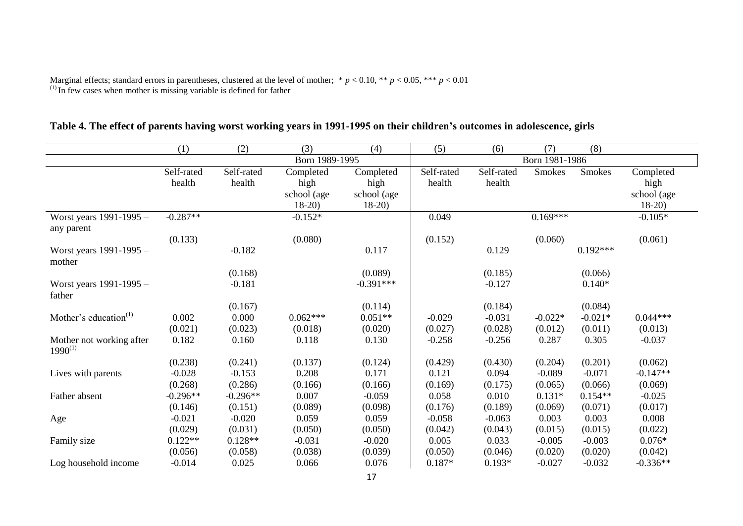Marginal effects; standard errors in parentheses, clustered at the level of mother; \* *p* < 0.10, \*\* *p* < 0.05, \*\*\* *p* < 0.01  $<sup>(1)</sup>$  In few cases when mother is missing variable is defined for father</sup>

|                                          | (1)                  | (2)                  | (3)                                         | (4)                                         | (5)                  | (6)                  | (7)            | (8)        |                                             |
|------------------------------------------|----------------------|----------------------|---------------------------------------------|---------------------------------------------|----------------------|----------------------|----------------|------------|---------------------------------------------|
|                                          |                      |                      | Born 1989-1995                              |                                             |                      |                      | Born 1981-1986 |            |                                             |
|                                          | Self-rated<br>health | Self-rated<br>health | Completed<br>high<br>school (age<br>$18-20$ | Completed<br>high<br>school (age<br>$18-20$ | Self-rated<br>health | Self-rated<br>health | Smokes         | Smokes     | Completed<br>high<br>school (age<br>$18-20$ |
| Worst years 1991-1995 -<br>any parent    | $-0.287**$           |                      | $-0.152*$                                   |                                             | 0.049                |                      | $0.169***$     |            | $-0.105*$                                   |
|                                          | (0.133)              |                      | (0.080)                                     |                                             | (0.152)              |                      | (0.060)        |            | (0.061)                                     |
| Worst years 1991-1995 -<br>mother        |                      | $-0.182$             |                                             | 0.117                                       |                      | 0.129                |                | $0.192***$ |                                             |
|                                          |                      | (0.168)              |                                             | (0.089)                                     |                      | (0.185)              |                | (0.066)    |                                             |
| Worst years 1991-1995 -<br>father        |                      | $-0.181$             |                                             | $-0.391***$                                 |                      | $-0.127$             |                | $0.140*$   |                                             |
|                                          |                      | (0.167)              |                                             | (0.114)                                     |                      | (0.184)              |                | (0.084)    |                                             |
| Mother's education $(1)$                 | 0.002                | 0.000                | $0.062***$                                  | $0.051**$                                   | $-0.029$             | $-0.031$             | $-0.022*$      | $-0.021*$  | $0.044***$                                  |
|                                          | (0.021)              | (0.023)              | (0.018)                                     | (0.020)                                     | (0.027)              | (0.028)              | (0.012)        | (0.011)    | (0.013)                                     |
| Mother not working after<br>$1990^{(1)}$ | 0.182                | 0.160                | 0.118                                       | 0.130                                       | $-0.258$             | $-0.256$             | 0.287          | 0.305      | $-0.037$                                    |
|                                          | (0.238)              | (0.241)              | (0.137)                                     | (0.124)                                     | (0.429)              | (0.430)              | (0.204)        | (0.201)    | (0.062)                                     |
| Lives with parents                       | $-0.028$             | $-0.153$             | 0.208                                       | 0.171                                       | 0.121                | 0.094                | $-0.089$       | $-0.071$   | $-0.147**$                                  |
|                                          | (0.268)              | (0.286)              | (0.166)                                     | (0.166)                                     | (0.169)              | (0.175)              | (0.065)        | (0.066)    | (0.069)                                     |
| Father absent                            | $-0.296**$           | $-0.296**$           | 0.007                                       | $-0.059$                                    | 0.058                | 0.010                | $0.131*$       | $0.154**$  | $-0.025$                                    |
|                                          | (0.146)              | (0.151)              | (0.089)                                     | (0.098)                                     | (0.176)              | (0.189)              | (0.069)        | (0.071)    | (0.017)                                     |
| Age                                      | $-0.021$             | $-0.020$             | 0.059                                       | 0.059                                       | $-0.058$             | $-0.063$             | 0.003          | 0.003      | 0.008                                       |
|                                          | (0.029)              | (0.031)              | (0.050)                                     | (0.050)                                     | (0.042)              | (0.043)              | (0.015)        | (0.015)    | (0.022)                                     |
| Family size                              | $0.122**$            | $0.128**$            | $-0.031$                                    | $-0.020$                                    | 0.005                | 0.033                | $-0.005$       | $-0.003$   | $0.076*$                                    |
|                                          | (0.056)              | (0.058)              | (0.038)                                     | (0.039)                                     | (0.050)              | (0.046)              | (0.020)        | (0.020)    | (0.042)                                     |
| Log household income                     | $-0.014$             | 0.025                | 0.066                                       | 0.076                                       | $0.187*$             | $0.193*$             | $-0.027$       | $-0.032$   | $-0.336**$                                  |

## **Table 4. The effect of parents having worst working years in 1991-1995 on their children's outcomes in adolescence, girls**

17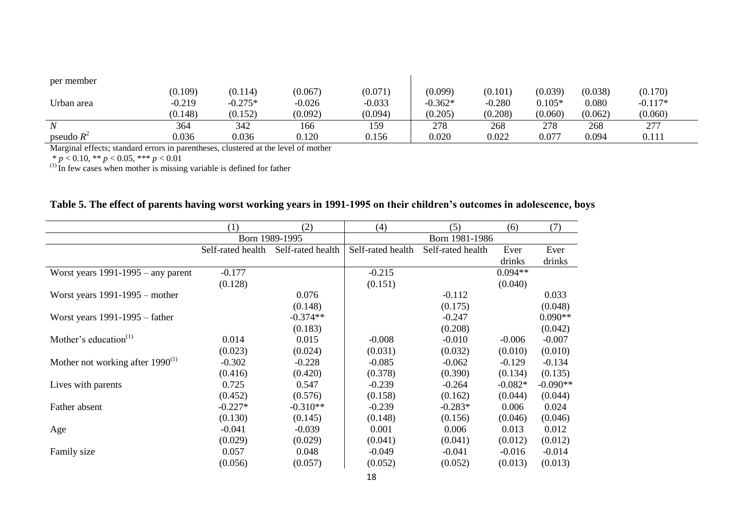| per member       |          |           |          |          |           |          |          |         |           |  |
|------------------|----------|-----------|----------|----------|-----------|----------|----------|---------|-----------|--|
|                  | (0.109)  | (0.114)   | (0.067)  | (0.071)  | (0.099)   | (0.101)  | (0.039)  | (0.038) | (0.170)   |  |
| Urban area       | $-0.219$ | $-0.275*$ | $-0.026$ | $-0.033$ | $-0.362*$ | $-0.280$ | $0.105*$ | 0.080   | $-0.117*$ |  |
|                  | (0.148)  | (0.152)   | (0.092)  | (0.094)  | (0.205)   | (0.208)  | (0.060)  | (0.062) | (0.060)   |  |
| $\boldsymbol{N}$ | 364      | 342       | 166      | 159      | 278       | 268      | 278      | 268     | 277       |  |
| pseudo $R^2$     | 0.036    | 0.036     | 0.120    | 0.156    | 0.020     | 0.022    | 0.077    | 0.094   | 0.111     |  |

Marginal effects; standard errors in parentheses, clustered at the level of mother

\* *p* < 0.10, \*\* *p* < 0.05, \*\*\* *p* < 0.01

 $<sup>(1)</sup>$  In few cases when mother is missing variable is defined for father</sup>

|  | Table 5. The effect of parents having worst working years in 1991-1995 on their children's outcomes in adolescence, boys |
|--|--------------------------------------------------------------------------------------------------------------------------|
|--|--------------------------------------------------------------------------------------------------------------------------|

|                                       | (1)               | (2)               | (4)               | (5)               | (6)       | (7)        |
|---------------------------------------|-------------------|-------------------|-------------------|-------------------|-----------|------------|
|                                       |                   | Born 1989-1995    |                   | Born 1981-1986    |           |            |
|                                       | Self-rated health | Self-rated health | Self-rated health | Self-rated health | Ever      | Ever       |
|                                       |                   |                   |                   |                   | drinks    | drinks     |
| Worst years $1991-1995$ – any parent  | $-0.177$          |                   | $-0.215$          |                   | $0.094**$ |            |
|                                       | (0.128)           |                   | (0.151)           |                   | (0.040)   |            |
| Worst years $1991-1995$ – mother      |                   | 0.076             |                   | $-0.112$          |           | 0.033      |
|                                       |                   | (0.148)           |                   | (0.175)           |           | (0.048)    |
| Worst years $1991-1995$ – father      |                   | $-0.374**$        |                   | $-0.247$          |           | $0.090**$  |
|                                       |                   | (0.183)           |                   | (0.208)           |           | (0.042)    |
| Mother's education $(1)$              | 0.014             | 0.015             | $-0.008$          | $-0.010$          | $-0.006$  | $-0.007$   |
|                                       | (0.023)           | (0.024)           | (0.031)           | (0.032)           | (0.010)   | (0.010)    |
| Mother not working after $1990^{(1)}$ | $-0.302$          | $-0.228$          | $-0.085$          | $-0.062$          | $-0.129$  | $-0.134$   |
|                                       | (0.416)           | (0.420)           | (0.378)           | (0.390)           | (0.134)   | (0.135)    |
| Lives with parents                    | 0.725             | 0.547             | $-0.239$          | $-0.264$          | $-0.082*$ | $-0.090**$ |
|                                       | (0.452)           | (0.576)           | (0.158)           | (0.162)           | (0.044)   | (0.044)    |
| Father absent                         | $-0.227*$         | $-0.310**$        | $-0.239$          | $-0.283*$         | 0.006     | 0.024      |
|                                       | (0.130)           | (0.145)           | (0.148)           | (0.156)           | (0.046)   | (0.046)    |
| Age                                   | $-0.041$          | $-0.039$          | 0.001             | 0.006             | 0.013     | 0.012      |
|                                       | (0.029)           | (0.029)           | (0.041)           | (0.041)           | (0.012)   | (0.012)    |
| Family size                           | 0.057             | 0.048             | $-0.049$          | $-0.041$          | $-0.016$  | $-0.014$   |
|                                       | (0.056)           | (0.057)           | (0.052)           | (0.052)           | (0.013)   | (0.013)    |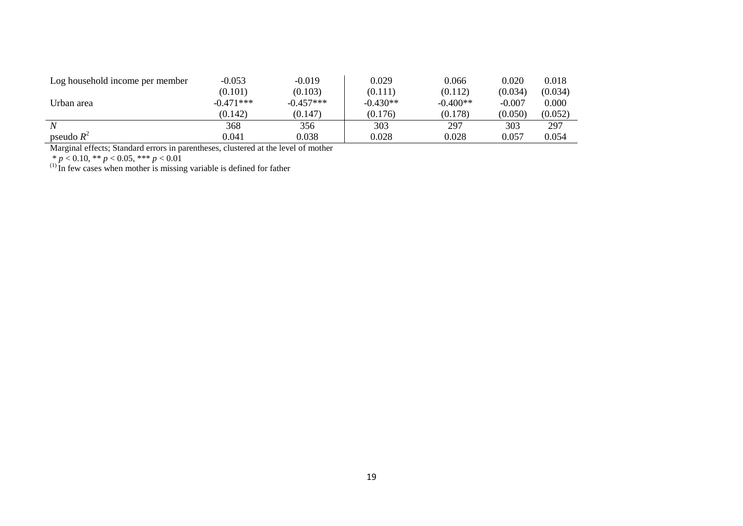| Log household income per member | $-0.053$    | $-0.019$    | 0.029      | 0.066      | 0.020    | 0.018   |
|---------------------------------|-------------|-------------|------------|------------|----------|---------|
|                                 | (0.101)     | (0.103)     | (0.111)    | (0.112)    | (0.034)  | (0.034) |
| Urban area                      | $-0.471***$ | $-0.457***$ | $-0.430**$ | $-0.400**$ | $-0.007$ | 0.000   |
|                                 | (0.142)     | (0.147)     | (0.176)    | (0.178)    | (0.050)  | (0.052) |
| $\boldsymbol{N}$                | 368         | 356         | 303        | 297        | 303      | 297     |
| pseudo $R^2$                    | 0.041       | 0.038       | 0.028      | 0.028      | 0.057    | 0.054   |

Marginal effects; Standard errors in parentheses, clustered at the level of mother

\* *p* < 0.10, \*\* *p* < 0.05, \*\*\* *p* < 0.01

 $<sup>(1)</sup>$  In few cases when mother is missing variable is defined for father</sup>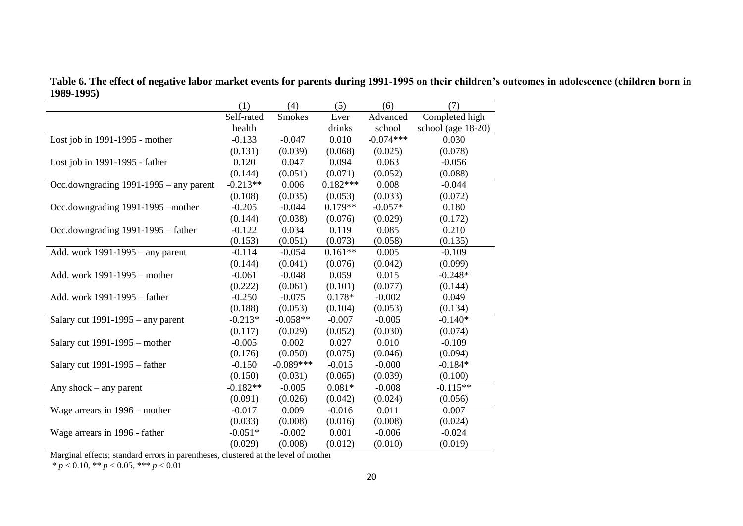**Table 6. The effect of negative labor market events for parents during 1991-1995 on their children's outcomes in adolescence (children born in 1989-1995)** ш,

|                                          | (1)        | (4)           | (5)        | (6)         | (7)                |
|------------------------------------------|------------|---------------|------------|-------------|--------------------|
|                                          | Self-rated | <b>Smokes</b> | Ever       | Advanced    | Completed high     |
|                                          | health     |               | drinks     | school      | school (age 18-20) |
| Lost job in 1991-1995 - mother           | $-0.133$   | $-0.047$      | 0.010      | $-0.074***$ | 0.030              |
|                                          | (0.131)    | (0.039)       | (0.068)    | (0.025)     | (0.078)            |
| Lost job in 1991-1995 - father           | 0.120      | 0.047         | 0.094      | 0.063       | $-0.056$           |
|                                          | (0.144)    | (0.051)       | (0.071)    | (0.052)     | (0.088)            |
| Occ.downgrading $1991-1995$ – any parent | $-0.213**$ | 0.006         | $0.182***$ | 0.008       | $-0.044$           |
|                                          | (0.108)    | (0.035)       | (0.053)    | (0.033)     | (0.072)            |
| Occ.downgrading 1991-1995 –mother        | $-0.205$   | $-0.044$      | $0.179**$  | $-0.057*$   | 0.180              |
|                                          | (0.144)    | (0.038)       | (0.076)    | (0.029)     | (0.172)            |
| Occ.downgrading 1991-1995 – father       | $-0.122$   | 0.034         | 0.119      | 0.085       | 0.210              |
|                                          | (0.153)    | (0.051)       | (0.073)    | (0.058)     | (0.135)            |
| Add. work 1991-1995 – any parent         | $-0.114$   | $-0.054$      | $0.161**$  | 0.005       | $-0.109$           |
|                                          | (0.144)    | (0.041)       | (0.076)    | (0.042)     | (0.099)            |
| Add. work 1991-1995 – mother             | $-0.061$   | $-0.048$      | 0.059      | 0.015       | $-0.248*$          |
|                                          | (0.222)    | (0.061)       | (0.101)    | (0.077)     | (0.144)            |
| Add. work 1991-1995 – father             | $-0.250$   | $-0.075$      | $0.178*$   | $-0.002$    | 0.049              |
|                                          | (0.188)    | (0.053)       | (0.104)    | (0.053)     | (0.134)            |
| Salary cut $1991-1995$ – any parent      | $-0.213*$  | $-0.058**$    | $-0.007$   | $-0.005$    | $-0.140*$          |
|                                          | (0.117)    | (0.029)       | (0.052)    | (0.030)     | (0.074)            |
| Salary cut $1991-1995$ – mother          | $-0.005$   | 0.002         | 0.027      | 0.010       | $-0.109$           |
|                                          | (0.176)    | (0.050)       | (0.075)    | (0.046)     | (0.094)            |
| Salary cut 1991-1995 – father            | $-0.150$   | $-0.089***$   | $-0.015$   | $-0.000$    | $-0.184*$          |
|                                          | (0.150)    | (0.031)       | (0.065)    | (0.039)     | (0.100)            |
| Any shock $-$ any parent                 | $-0.182**$ | $-0.005$      | $0.081*$   | $-0.008$    | $-0.115**$         |
|                                          | (0.091)    | (0.026)       | (0.042)    | (0.024)     | (0.056)            |
| Wage arrears in 1996 – mother            | $-0.017$   | 0.009         | $-0.016$   | 0.011       | 0.007              |
|                                          | (0.033)    | (0.008)       | (0.016)    | (0.008)     | (0.024)            |
| Wage arrears in 1996 - father            | $-0.051*$  | $-0.002$      | 0.001      | $-0.006$    | $-0.024$           |
|                                          | (0.029)    | (0.008)       | (0.012)    | (0.010)     | (0.019)            |

Marginal effects; standard errors in parentheses, clustered at the level of mother

 $* p < 0.10, ** p < 0.05, *** p < 0.01$